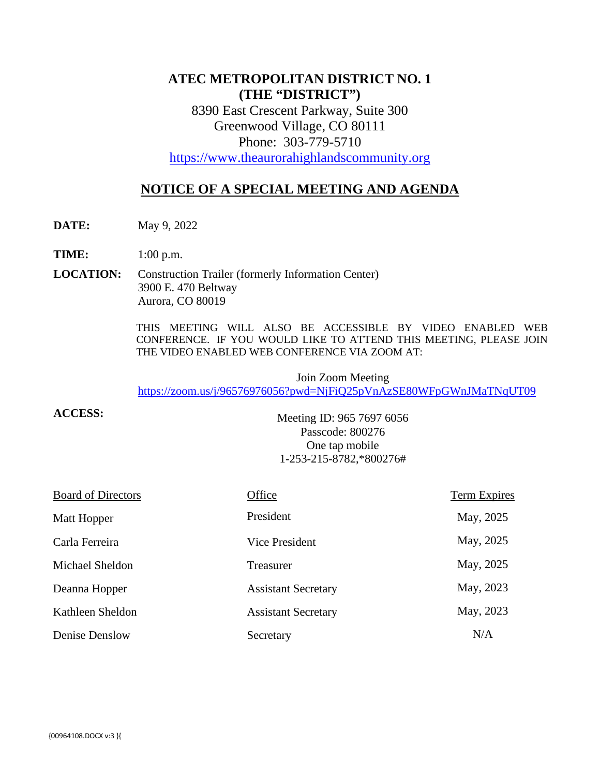## **ATEC METROPOLITAN DISTRICT NO. 1 (THE "DISTRICT")**

8390 East Crescent Parkway, Suite 300 Greenwood Village, CO 80111 Phone: 303-779-5710

[https://www.theaurorahighlandscommunity.org](https://www.theaurorahighlandscommunity.org/)

# **NOTICE OF A SPECIAL MEETING AND AGENDA**

**DATE:** May 9, 2022

**TIME:** 1:00 p.m.

**LOCATION:** Construction Trailer (formerly Information Center) 3900 E. 470 Beltway Aurora, CO 80019

> THIS MEETING WILL ALSO BE ACCESSIBLE BY VIDEO ENABLED WEB CONFERENCE. IF YOU WOULD LIKE TO ATTEND THIS MEETING, PLEASE JOIN THE VIDEO ENABLED WEB CONFERENCE VIA ZOOM AT:

Join Zoom Meeting <https://zoom.us/j/96576976056?pwd=NjFiQ25pVnAzSE80WFpGWnJMaTNqUT09>

**ACCESS:**

Meeting ID: 965 7697 6056 Passcode: 800276 One tap mobile 1-253-215-8782,\*800276#

| <b>Board of Directors</b> | Office                     | Term Expires |
|---------------------------|----------------------------|--------------|
| Matt Hopper               | President                  | May, 2025    |
| Carla Ferreira            | Vice President             | May, 2025    |
| Michael Sheldon           | Treasurer                  | May, 2025    |
| Deanna Hopper             | <b>Assistant Secretary</b> | May, 2023    |
| Kathleen Sheldon          | <b>Assistant Secretary</b> | May, 2023    |
| Denise Denslow            | Secretary                  | N/A          |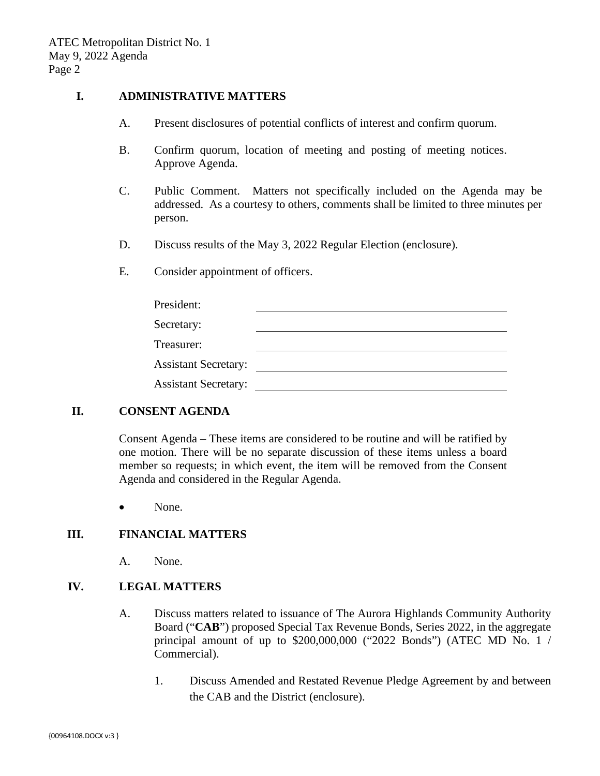#### **I. ADMINISTRATIVE MATTERS**

- A. Present disclosures of potential conflicts of interest and confirm quorum.
- B. Confirm quorum, location of meeting and posting of meeting notices. Approve Agenda.
- C. Public Comment. Matters not specifically included on the Agenda may be addressed. As a courtesy to others, comments shall be limited to three minutes per person.
- D. Discuss results of the May 3, 2022 Regular Election (enclosure).
- E. Consider appointment of officers.

| President:                  |  |
|-----------------------------|--|
| Secretary:                  |  |
| Treasurer:                  |  |
| <b>Assistant Secretary:</b> |  |
| <b>Assistant Secretary:</b> |  |

### **II. CONSENT AGENDA**

Consent Agenda – These items are considered to be routine and will be ratified by one motion. There will be no separate discussion of these items unless a board member so requests; in which event, the item will be removed from the Consent Agenda and considered in the Regular Agenda.

• None.

#### **III. FINANCIAL MATTERS**

A. None.

#### **IV. LEGAL MATTERS**

- A. Discuss matters related to issuance of The Aurora Highlands Community Authority Board ("**CAB**") proposed Special Tax Revenue Bonds, Series 2022, in the aggregate principal amount of up to \$200,000,000 ("2022 Bonds") (ATEC MD No. 1 / Commercial).
	- 1. Discuss Amended and Restated Revenue Pledge Agreement by and between the CAB and the District (enclosure).